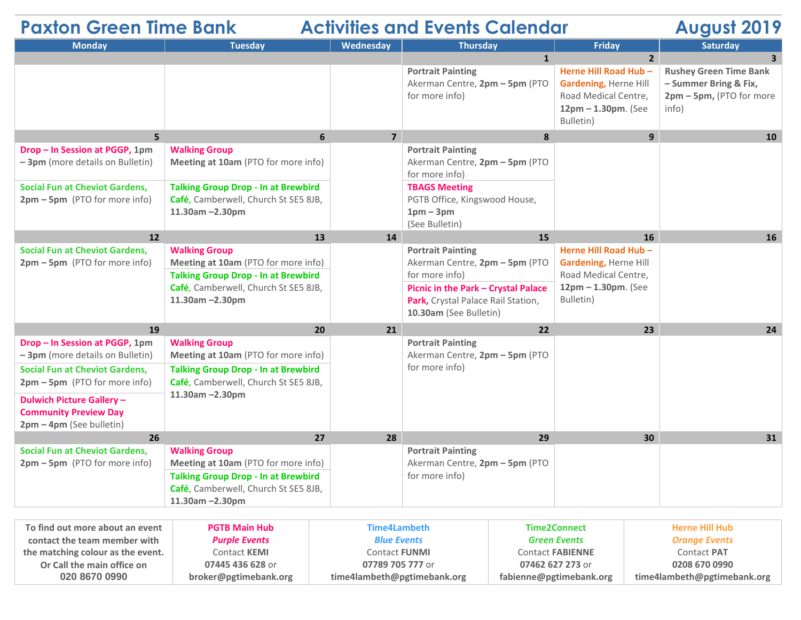| <b>Paxton Green Time Bank</b><br><b>Activities and Events Calendar</b><br><b>August 2019</b>                                                   |                                                                                                                                                                            |                |                                                                                                                                                                                     |                                                                                                                   |                                                                                             |  |  |
|------------------------------------------------------------------------------------------------------------------------------------------------|----------------------------------------------------------------------------------------------------------------------------------------------------------------------------|----------------|-------------------------------------------------------------------------------------------------------------------------------------------------------------------------------------|-------------------------------------------------------------------------------------------------------------------|---------------------------------------------------------------------------------------------|--|--|
| <b>Monday</b>                                                                                                                                  | <b>Tuesday</b>                                                                                                                                                             | Wednesday      | <b>Thursday</b>                                                                                                                                                                     | <b>Friday</b>                                                                                                     | <b>Saturday</b>                                                                             |  |  |
|                                                                                                                                                |                                                                                                                                                                            |                | $\mathbf{1}$                                                                                                                                                                        | $2^{\circ}$                                                                                                       | $\overline{3}$                                                                              |  |  |
|                                                                                                                                                |                                                                                                                                                                            |                | <b>Portrait Painting</b><br>Akerman Centre, 2pm - 5pm (PTO<br>for more info)                                                                                                        | Herne Hill Road Hub -<br><b>Gardening, Herne Hill</b><br>Road Medical Centre,<br>12pm - 1.30pm. (See<br>Bulletin) | <b>Rushey Green Time Bank</b><br>- Summer Bring & Fix,<br>2pm - 5pm, (PTO for more<br>info) |  |  |
| 5 <sup>1</sup>                                                                                                                                 | 6                                                                                                                                                                          | $\overline{7}$ | 8                                                                                                                                                                                   | 9 <sup>°</sup>                                                                                                    | 10                                                                                          |  |  |
| Drop - In Session at PGGP, 1pm<br>$-3$ pm (more details on Bulletin)<br><b>Social Fun at Cheviot Gardens,</b><br>2pm - 5pm (PTO for more info) | <b>Walking Group</b><br>Meeting at 10am (PTO for more info)<br><b>Talking Group Drop - In at Brewbird</b><br>Café, Camberwell, Church St SE5 8JB,<br>$11.30$ am $-2.30$ pm |                | <b>Portrait Painting</b><br>Akerman Centre, 2pm - 5pm (PTO<br>for more info)<br><b>TBAGS Meeting</b><br>PGTB Office, Kingswood House,<br>$1pm-3pm$<br>(See Bulletin)                |                                                                                                                   |                                                                                             |  |  |
| 12                                                                                                                                             | 13                                                                                                                                                                         | 14             | 15                                                                                                                                                                                  | <b>16</b>                                                                                                         | <b>16</b>                                                                                   |  |  |
| <b>Social Fun at Cheviot Gardens,</b><br>2pm - 5pm (PTO for more info)                                                                         | <b>Walking Group</b><br>Meeting at 10am (PTO for more info)<br><b>Talking Group Drop - In at Brewbird</b><br>Café, Camberwell, Church St SE5 8JB,<br>$11.30$ am $-2.30$ pm |                | <b>Portrait Painting</b><br>Akerman Centre, 2pm - 5pm (PTO<br>for more info)<br>Picnic in the Park - Crystal Palace<br>Park, Crystal Palace Rail Station,<br>10.30am (See Bulletin) | Herne Hill Road Hub -<br>Gardening, Herne Hill<br>Road Medical Centre,<br>$12pm - 1.30pm$ . (See<br>Bulletin)     |                                                                                             |  |  |
| 19                                                                                                                                             | 20                                                                                                                                                                         | 21             | 22                                                                                                                                                                                  | 23                                                                                                                | 24                                                                                          |  |  |
| Drop - In Session at PGGP, 1pm<br>- 3pm (more details on Bulletin)                                                                             | <b>Walking Group</b><br>Meeting at 10am (PTO for more info)                                                                                                                |                | <b>Portrait Painting</b><br>Akerman Centre, 2pm - 5pm (PTO                                                                                                                          |                                                                                                                   |                                                                                             |  |  |
| <b>Social Fun at Cheviot Gardens,</b><br>2pm - 5pm (PTO for more info)                                                                         | <b>Talking Group Drop - In at Brewbird</b><br>Café, Camberwell, Church St SE5 8JB,                                                                                         |                | for more info)                                                                                                                                                                      |                                                                                                                   |                                                                                             |  |  |
| <b>Dulwich Picture Gallery -</b><br><b>Community Preview Day</b><br>$2pm - 4pm$ (See bulletin)                                                 | 11.30am -2.30pm                                                                                                                                                            |                |                                                                                                                                                                                     |                                                                                                                   |                                                                                             |  |  |
| 26                                                                                                                                             | 27                                                                                                                                                                         | 28             | 29                                                                                                                                                                                  | 30                                                                                                                | 31                                                                                          |  |  |
| <b>Social Fun at Cheviot Gardens,</b><br>2pm - 5pm (PTO for more info)                                                                         | <b>Walking Group</b><br>Meeting at 10am (PTO for more info)<br><b>Talking Group Drop - In at Brewbird</b><br>Café, Camberwell, Church St SE5 8JB,<br>11.30am -2.30pm       |                | <b>Portrait Painting</b><br>Akerman Centre, 2pm - 5pm (PTO<br>for more info)                                                                                                        |                                                                                                                   |                                                                                             |  |  |

| To find out more about an event   | <b>PGTB Main Hub</b>  | Time4Lambeth                | Time2Connect            | Herne Hill Hub              |
|-----------------------------------|-----------------------|-----------------------------|-------------------------|-----------------------------|
| contact the team member with      | <b>Purple Events</b>  | <b>Blue Events</b>          | <b>Green Events</b>     | <b>Orange Events</b>        |
| the matching colour as the event. | Contact <b>KEMI</b>   | <b>Contact FUNMI</b>        | <b>Contact FABIENNE</b> | Contact <b>PAT</b>          |
| Or Call the main office on        | 07445 436 628 or      | 07789 705 777 or            | 07462 627 273 or        | 0208 670 0990               |
| 020 8670 0990                     | broker@pgtimebank.org | time4lambeth@pgtimebank.org | fabienne@pgtimebank.org | time4lambeth@pgtimebank.org |